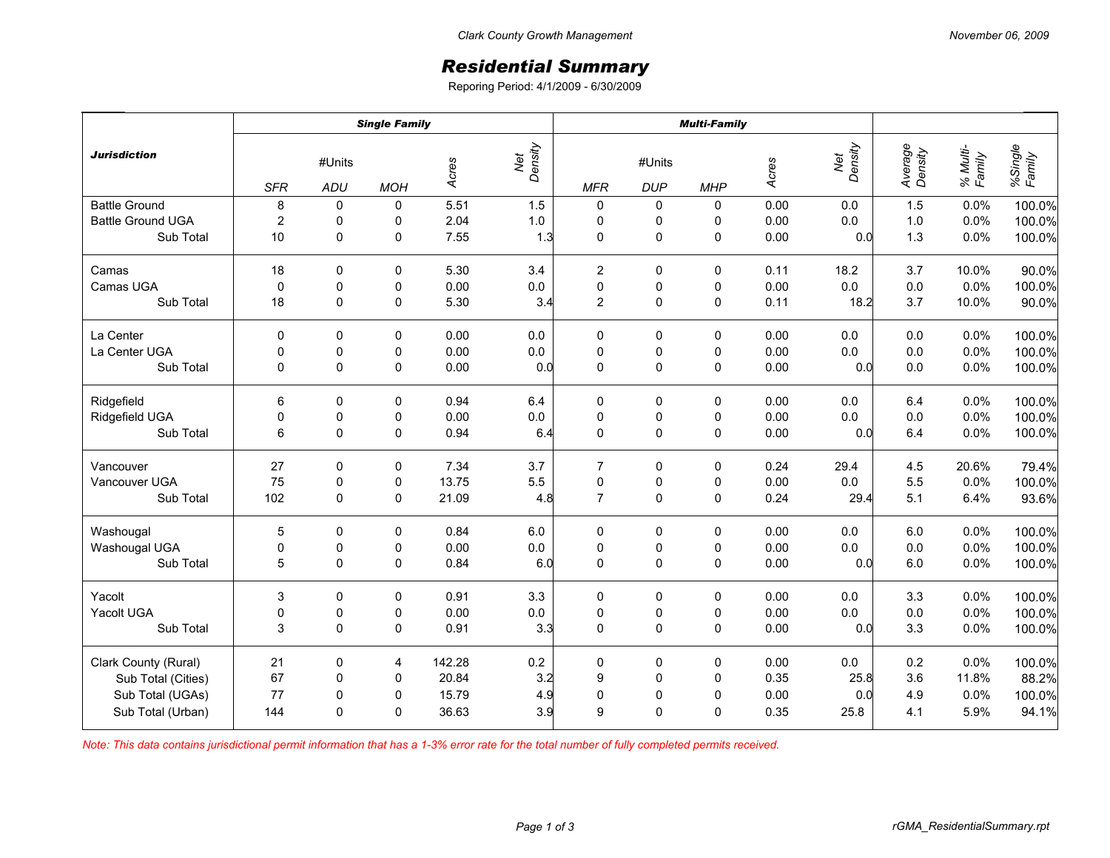## *Residential Summary*

Reporing Period: 4/1/2009 - 6/30/2009

| <b>Jurisdiction</b>      | <b>Single Family</b>        |              |             |        |                | <b>Multi-Family</b> |                      |             |       |         |                    |                    |                   |
|--------------------------|-----------------------------|--------------|-------------|--------|----------------|---------------------|----------------------|-------------|-------|---------|--------------------|--------------------|-------------------|
|                          | #Units<br><b>SFR</b><br>ADU |              | <b>MOH</b>  | Acres  | Net<br>Density | <b>MFR</b>          | #Units<br><b>DUP</b> | <b>MHP</b>  | Acres |         | Average<br>Density | % Multi-<br>Family | %Single<br>Family |
| <b>Battle Ground</b>     | 8                           | 0            | 0           | 5.51   | 1.5            | 0                   | 0                    | 0           | 0.00  | 0.0     | 1.5                | 0.0%               | 100.0%            |
| <b>Battle Ground UGA</b> | $\overline{c}$              | 0            | 0           | 2.04   | $1.0\,$        | 0                   | 0                    | 0           | 0.00  | 0.0     | $1.0$              | 0.0%               | 100.0%            |
| Sub Total                | 10                          | $\mathbf 0$  | 0           | 7.55   | 1.3            | $\pmb{0}$           | $\mathsf{O}\xspace$  | $\pmb{0}$   | 0.00  | 0.0     | 1.3                | 0.0%               | 100.0%            |
| Camas                    | 18                          | 0            | 0           | 5.30   | 3.4            | $\overline{2}$      | 0                    | 0           | 0.11  | 18.2    | 3.7                | 10.0%              | 90.0%             |
| Camas UGA                | $\mathbf{0}$                | 0            | 0           | 0.00   | $0.0\,$        | $\pmb{0}$           | 0                    | 0           | 0.00  | 0.0     | $0.0\,$            | 0.0%               | 100.0%            |
| Sub Total                | 18                          | $\Omega$     | 0           | 5.30   | 3.4            | $\overline{2}$      | $\mathsf{O}\xspace$  | $\mathbf 0$ | 0.11  | 18.2    | 3.7                | 10.0%              | 90.0%             |
| La Center                | 0                           | 0            | 0           | 0.00   | 0.0            | 0                   | 0                    | 0           | 0.00  | 0.0     | 0.0                | 0.0%               | 100.0%            |
| La Center UGA            | 0                           | $\pmb{0}$    | 0           | 0.00   | $0.0\,$        | $\pmb{0}$           | $\pmb{0}$            | $\pmb{0}$   | 0.00  | 0.0     | $0.0\,$            | 0.0%               | 100.0%            |
| Sub Total                | 0                           | $\mathbf 0$  | $\mathbf 0$ | 0.00   | 0.0            | $\mathbf 0$         | $\pmb{0}$            | $\pmb{0}$   | 0.00  | 0.0     | 0.0                | 0.0%               | 100.0%            |
| Ridgefield               | 6                           | 0            | 0           | 0.94   | 6.4            | 0                   | 0                    | 0           | 0.00  | 0.0     | 6.4                | 0.0%               | 100.0%            |
| Ridgefield UGA           | 0                           | 0            | 0           | 0.00   | $0.0\,$        | $\pmb{0}$           | 0                    | 0           | 0.00  | 0.0     | $0.0\,$            | 0.0%               | 100.0%            |
| Sub Total                | 6                           | 0            | 0           | 0.94   | 6.4            | $\mathbf 0$         | $\mathsf{O}\xspace$  | $\pmb{0}$   | 0.00  | 0.0     | 6.4                | 0.0%               | 100.0%            |
| Vancouver                | 27                          | 0            | 0           | 7.34   | 3.7            | $\overline{7}$      | 0                    | 0           | 0.24  | 29.4    | 4.5                | 20.6%              | 79.4%             |
| Vancouver UGA            | 75                          | 0            | 0           | 13.75  | 5.5            | $\pmb{0}$           | $\pmb{0}$            | 0           | 0.00  | 0.0     | 5.5                | 0.0%               | 100.0%            |
| Sub Total                | 102                         | 0            | 0           | 21.09  | 4.8            | $\overline{7}$      | $\pmb{0}$            | $\mathbf 0$ | 0.24  | 29.4    | 5.1                | 6.4%               | 93.6%             |
| Washougal                | 5                           | $\Omega$     | 0           | 0.84   | 6.0            | $\pmb{0}$           | 0                    | 0           | 0.00  | 0.0     | 6.0                | 0.0%               | 100.0%            |
| Washougal UGA            | 0                           | 0            | 0           | 0.00   | $0.0\,$        | $\pmb{0}$           | $\pmb{0}$            | $\pmb{0}$   | 0.00  | $0.0\,$ | $0.0\,$            | 0.0%               | 100.0%            |
| Sub Total                | 5                           | 0            | 0           | 0.84   | 6.0            | $\mathbf 0$         | $\mathsf 0$          | $\pmb{0}$   | 0.00  | 0.0     | 6.0                | 0.0%               | 100.0%            |
| Yacolt                   | 3                           | 0            | 0           | 0.91   | 3.3            | 0                   | 0                    | 0           | 0.00  | 0.0     | 3.3                | 0.0%               | 100.0%            |
| Yacolt UGA               | 0                           | 0            | 0           | 0.00   | $0.0\,$        | $\pmb{0}$           | $\pmb{0}$            | 0           | 0.00  | 0.0     | $0.0\,$            | 0.0%               | 100.0%            |
| Sub Total                | 3                           | $\Omega$     | 0           | 0.91   | 3.3            | $\mathbf 0$         | $\mathbf 0$          | $\mathbf 0$ | 0.00  | 0.0     | 3.3                | 0.0%               | 100.0%            |
| Clark County (Rural)     | 21                          | 0            | 4           | 142.28 | $0.2\,$        | $\pmb{0}$           | 0                    | $\pmb{0}$   | 0.00  | $0.0\,$ | $0.2\,$            | 0.0%               | 100.0%            |
| Sub Total (Cities)       | 67                          | $\pmb{0}$    | 0           | 20.84  | 3.2            | 9                   | $\pmb{0}$            | $\pmb{0}$   | 0.35  | 25.8    | 3.6                | 11.8%              | 88.2%             |
| Sub Total (UGAs)         | 77                          | 0            | 0           | 15.79  | 4.9            | $\mathbf 0$         | $\pmb{0}$            | $\mathbf 0$ | 0.00  | 0.0     | 4.9                | 0.0%               | 100.0%            |
| Sub Total (Urban)        | 144                         | $\mathbf{0}$ | 0           | 36.63  | 3.9            | 9                   | $\mathbf 0$          | 0           | 0.35  | 25.8    | 4.1                | 5.9%               | 94.1%             |

*Note: This data contains jurisdictional permit information that has a 1-3% error rate for the total number of fully completed permits received.*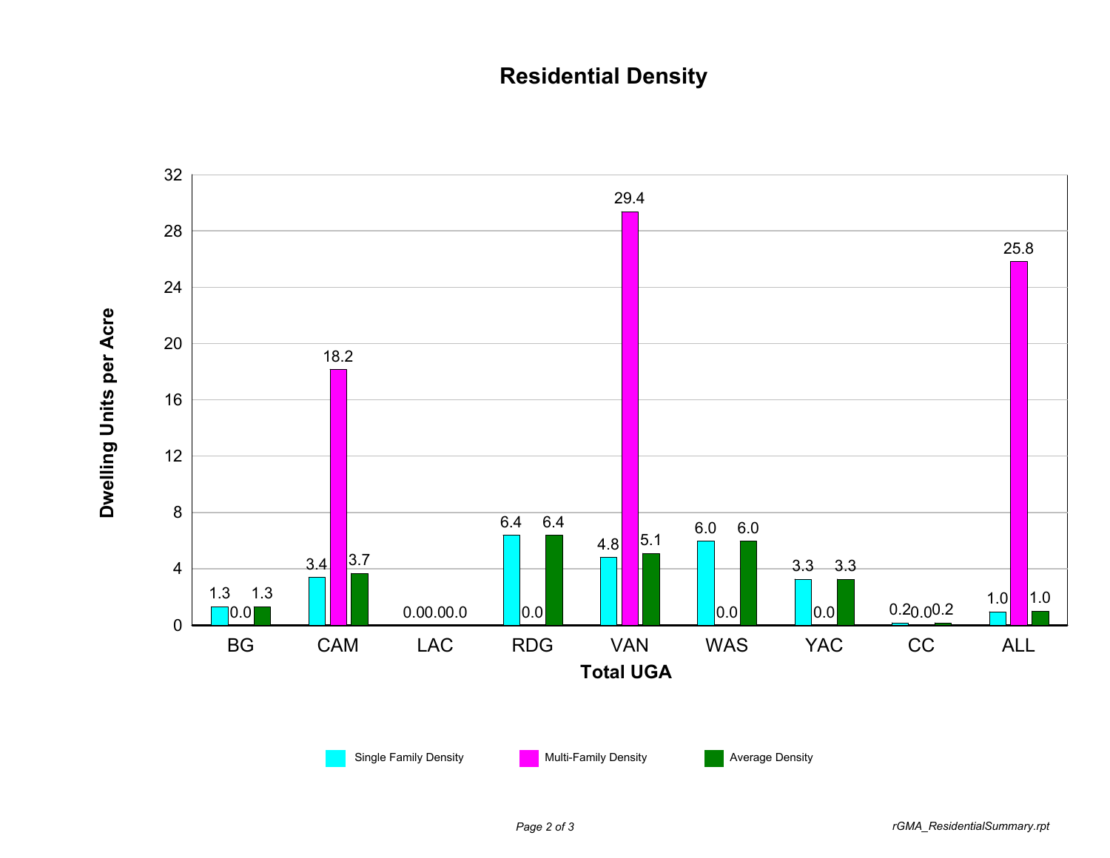## **Residential Density**